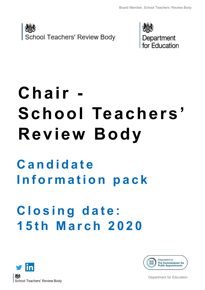



# **Chair - School Teachers' Review Body**

# **C a n d i d a t e I n f o r m a t i o n p a c k**

# **C l o s i n g d a t e : 1 5 t h M a r c h 2 0 2 0**





Department for Education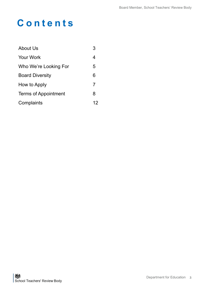### **C o n t e n t s**

| About Us                    | 3  |
|-----------------------------|----|
| <b>Your Work</b>            | 4  |
| Who We're Looking For       | 5  |
| <b>Board Diversity</b>      | 6  |
| How to Apply                | 7  |
| <b>Terms of Appointment</b> | 8  |
| Complaints                  | 12 |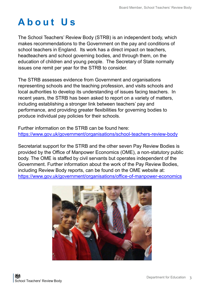### **A b o u t U s**

The School Teachers' Review Body (STRB) is an independent body, which makes recommendations to the Government on the pay and conditions of school teachers in England. Its work has a direct impact on teachers, headteachers and school governing bodies, and through them, on the education of children and young people. The Secretary of State normally issues one remit per year for the STRB to consider.

The STRB assesses evidence from Government and organisations representing schools and the teaching profession, and visits schools and local authorities to develop its understanding of issues facing teachers. In recent years, the STRB has been asked to report on a variety of matters, including establishing a stronger link between teachers' pay and performance, and providing greater flexibilities for governing bodies to produce individual pay policies for their schools.

Further information on the STRB can be found here: https://www.gov.uk/government/organisations/school-teachers-review-body

Secretariat support for the STRB and the other seven Pay Review Bodies is provided by the Office of Manpower Economics (OME), a non-statutory public body. The OME is staffed by civil servants but operates independent of the Government. Further information about the work of the Pay Review Bodies, including Review Body reports, can be found on the OME website at: [https://www.gov.uk/government/organisations/office](https://www.gov.uk/government/organisations/office-of-manpower-economics)-of-manpower-economics

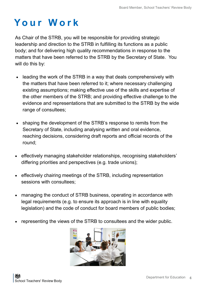### **Y o u r W o r k**

As Chair of the STRB, you will be responsible for providing strategic leadership and direction to the STRB in fulfilling its functions as a public body; and for delivering high quality recommendations in response to the matters that have been referred to the STRB by the Secretary of State. You will do this by:

- leading the work of the STRB in a way that deals comprehensively with the matters that have been referred to it; where necessary challenging existing assumptions; making effective use of the skills and expertise of the other members of the STRB; and providing effective challenge to the evidence and representations that are submitted to the STRB by the wide range of consultees;
- shaping the development of the STRB's response to remits from the Secretary of State, including analysing written and oral evidence, reaching decisions, considering draft reports and official records of the round;
- effectively managing stakeholder relationships, recognising stakeholders' differing priorities and perspectives (e.g. trade unions);
- effectively chairing meetings of the STRB, including representation sessions with consultees;
- managing the conduct of STRB business, operating in accordance with legal requirements (e.g. to ensure its approach is in line with equality legislation) and the code of conduct for board members of public bodies;
- representing the views of the STRB to consultees and the wider public.

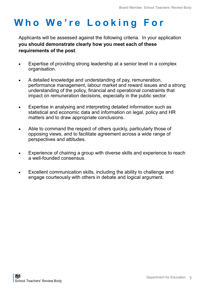### **W h o W e ' r e L o o k i n g F o r**

Applicants will be assessed against the following criteria. In your application **you should demonstrate clearly how you meet each of these requirements of the post**.

- Expertise of providing strong leadership at a senior level in a complex organisation.
- A detailed knowledge and understanding of pay, remuneration, performance management, labour market and reward issues and a strong understanding of the policy, financial and operational constraints that impact on remuneration decisions, especially in the public sector.
- Expertise in analysing and interpreting detailed information such as statistical and economic data and information on legal, policy and HR matters and to draw appropriate conclusions.
- Able to command the respect of others quickly, particularly those of opposing views, and to facilitate agreement across a wide range of perspectives and attitudes.
- Experience of chairing a group with diverse skills and experience to reach a well-founded consensus.
- Excellent communication skills, including the ability to challenge and engage courteously with others in debate and logical argument.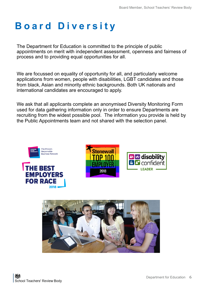### **B o a r d D i v e r s i t y**

The Department for Education is committed to the principle of public appointments on merit with independent assessment, openness and fairness of process and to providing equal opportunities for all.

We are focussed on equality of opportunity for all, and particularly welcome applications from women, people with disabilities, LGBT candidates and those from black, Asian and minority ethnic backgrounds. Both UK nationals and international candidates are encouraged to apply.

We ask that all applicants complete an anonymised Diversity Monitoring Form used for data gathering information only in order to ensure Departments are recruiting from the widest possible pool. The information you provide is held by the Public Appointments team and not shared with the selection panel.







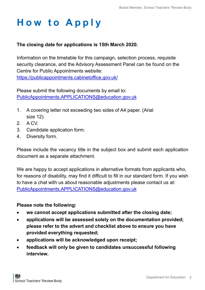### **H o w t o A p p l y**

#### **The closing date for applications is 15th March 2020.**

Information on the timetable for this campaign, selection process, requisite security clearance, and the Advisory Assessment Panel can be found on the Centre for Public Appointments website: <https://publicappointments.cabinetoffice.gov.uk/>

Please submit the following documents by email to: [PublicAppointments.APPLICATIONS@education.gov.uk](mailto:PublicAppointments.APPLICATIONS@education.gov.uk)

- 1. A covering letter not exceeding two sides of A4 paper. (Arial size 12).
- 2. A CV.
- 3. Candidate application form.
- 4. Diversity form.

Please include the vacancy title in the subject box and submit each application document as a separate attachment.

We are happy to accept applications in alternative formats from applicants who, for reasons of disability, may find it difficult to fill in our standard form. If you wish to have a chat with us about reasonable adjustments please contact us at: [PublicAppointments.APPLICATIONS@education.gov.uk](mailto:PublicAppointments.APPLICATIONS@education.gov.uk)

#### **Please note the following:**

- **we cannot accept applications submitted after the closing date;**
- **applications will be assessed solely on the documentation provided; please refer to the advert and checklist above to ensure you have provided everything requested;**
- **applications will be acknowledged upon receipt;**
- **feedback will only be given to candidates unsuccessful following interview.**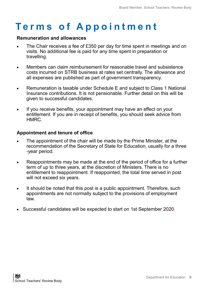#### **Remuneration and allowances**

- The Chair receives a fee of £350 per day for time spent in meetings and on visits. No additional fee is paid for any time spent in preparation or travelling.
- Members can claim reimbursement for reasonable travel and subsistence costs incurred on STRB business at rates set centrally. The allowance and all expenses are published as part of government transparency.
- Remuneration is taxable under Schedule E and subject to Class 1 National Insurance contributions. It is not pensionable. Further detail on this will be given to successful candidates.
- If you receive benefits, your appointment may have an effect on your entitlement. If you are in receipt of benefits, you should seek advice from HMRC.

#### **Appointment and tenure of office**

- The appointment of the chair will be made by the Prime Minister, at the recommendation of the Secretary of State for Education, usually for a three -year period.
- Reappointments may be made at the end of the period of office for a further term of up to three years, at the discretion of Ministers. There is no entitlement to reappointment. If reappointed, the total time served in post will not exceed six years.
- It should be noted that this post is a public appointment. Therefore, such appointments are not normally subject to the provisions of employment law.
- Successful candidates will be expected to start on 1st September 2020.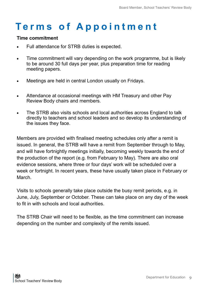#### **Time commitment**

- Full attendance for STRB duties is expected.
- Time commitment will vary depending on the work programme, but is likely to be around 30 full days per year, plus preparation time for reading meeting papers.
- Meetings are held in central London usually on Fridays.
- Attendance at occasional meetings with HM Treasury and other Pay Review Body chairs and members.
- The STRB also visits schools and local authorities across England to talk directly to teachers and school leaders and so develop its understanding of the issues they face.

Members are provided with finalised meeting schedules only after a remit is issued. In general, the STRB will have a remit from September through to May, and will have fortnightly meetings initially, becoming weekly towards the end of the production of the report (e.g. from February to May). There are also oral evidence sessions, where three or four days' work will be scheduled over a week or fortnight. In recent years, these have usually taken place in February or March.

Visits to schools generally take place outside the busy remit periods, e.g. in June, July, September or October. These can take place on any day of the week to fit in with schools and local authorities.

The STRB Chair will need to be flexible, as the time commitment can increase depending on the number and complexity of the remits issued.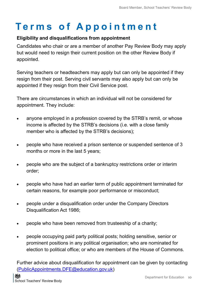#### **Eligibility and disqualifications from appointment**

Candidates who chair or are a member of another Pay Review Body may apply but would need to resign their current position on the other Review Body if appointed.

Serving teachers or headteachers may apply but can only be appointed if they resign from their post. Serving civil servants may also apply but can only be appointed if they resign from their Civil Service post.

There are circumstances in which an individual will not be considered for appointment. They include:

- anyone employed in a profession covered by the STRB's remit, or whose income is affected by the STRB's decisions (i.e. with a close family member who is affected by the STRB's decisions);
- people who have received a prison sentence or suspended sentence of 3 months or more in the last 5 years;
- people who are the subject of a bankruptcy restrictions order or interim order;
- people who have had an earlier term of public appointment terminated for certain reasons, for example poor performance or misconduct;
- people under a disqualification order under the Company Directors Disqualification Act 1986;
- people who have been removed from trusteeship of a charity;
- people occupying paid party political posts; holding sensitive, senior or prominent positions in any political organisation; who are nominated for election to political office; or who are members of the House of Commons.

Further advice about disqualification for appointment can be given by contacting [\(PublicAppointments.DFE@education.gov.uk\)](mailto:PublicAppointments.DFE@education.gov.uk)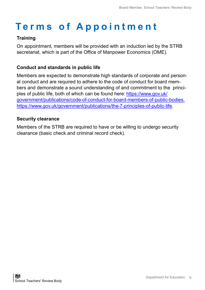#### **Training**

On appointment, members will be provided with an induction led by the STRB secretariat, which is part of the Office of Manpower Economics (OME).

#### **Conduct and standards in public life**

Members are expected to demonstrate high standards of corporate and personal conduct and are required to adhere to the code of conduct for board members and demonstrate a sound understanding of and commitment to the principles of public life, both of which can be found here: [https://www.gov.uk/](https://www.gov.uk/government/publications/code-of-conduct-for-board-members-of-public-bodies) [government/publications/code](https://www.gov.uk/government/publications/code-of-conduct-for-board-members-of-public-bodies)-of-conduct-for-board-members-of-public-bodies, [https://www.gov.uk/government/publications/the](https://www.gov.uk/government/publications/the-7-principles-of-public-life)-7-principles-of-public-life.

#### **Security clearance**

Members of the STRB are required to have or be willing to undergo security clearance (basic check and criminal record check).